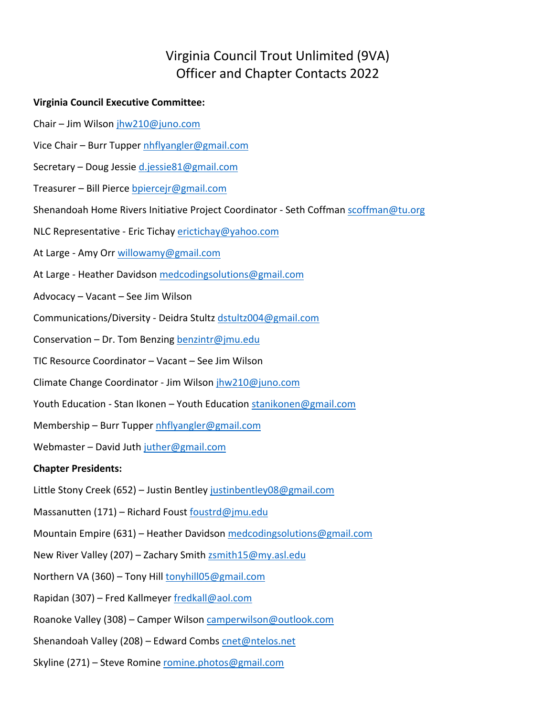## Virginia Council Trout Unlimited (9VA) Officer and Chapter Contacts 2022

## **Virginia Council Executive Committee:**

- Chair Jim Wilson jhw210@juno.com
- Vice Chair Burr Tupper nhflyangler@gmail.com
- Secretary Doug Jessie d.jessie81@gmail.com
- Treasurer Bill Pierce bpiercejr@gmail.com
- Shenandoah Home Rivers Initiative Project Coordinator Seth Coffman scoffman@tu.org
- NLC Representative Eric Tichay erictichay@yahoo.com
- At Large Amy Orr willowamy@gmail.com
- At Large Heather Davidson medcodingsolutions@gmail.com
- Advocacy Vacant See Jim Wilson
- Communications/Diversity Deidra Stultz dstultz004@gmail.com
- Conservation Dr. Tom Benzing benzintr@jmu.edu
- TIC Resource Coordinator Vacant See Jim Wilson
- Climate Change Coordinator Jim Wilson jhw210@juno.com
- Youth Education Stan Ikonen Youth Education stanikonen@gmail.com
- Membership Burr Tupper nhflyangler@gmail.com

Webmaster - David Juth juther@gmail.com

## **Chapter Presidents:**

- Little Stony Creek (652) Justin Bentley justinbentley08@gmail.com
- Massanutten (171) Richard Foust foustrd@jmu.edu
- Mountain Empire (631) Heather Davidson medcodingsolutions@gmail.com
- New River Valley (207) Zachary Smith zsmith15@my.asl.edu
- Northern VA (360) Tony Hill tonyhill05@gmail.com
- Rapidan (307) Fred Kallmeyer fredkall@aol.com
- Roanoke Valley (308) Camper Wilson camperwilson@outlook.com
- Shenandoah Valley (208) Edward Combs cnet@ntelos.net
- Skyline (271) Steve Romine romine.photos@gmail.com